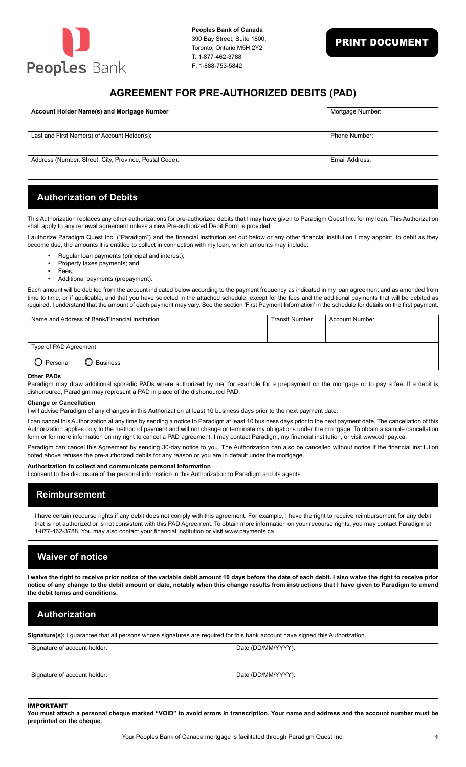

## **AGREEMENT FOR PRE-AUTHORIZED DEBITS (PAD)**

| <b>Account Holder Name(s) and Mortgage Number</b>      | Mortgage Number:     |
|--------------------------------------------------------|----------------------|
| Last and First Name(s) of Account Holder(s):           | <b>Phone Number:</b> |
| Address (Number, Street, City, Province, Postal Code): | Email Address:       |

### **Authorization of Debits**

This Authorization replaces any other authorizations for pre-authorized debits that I may have given to Paradigm Quest Inc. for my loan. This Authorization shall apply to any renewal agreement unless a new Pre-authorized Debit Form is provided.

I authorize Paradigm Quest Inc. ("Paradigm") and the financial institution set out below or any other financial institution I may appoint, to debit as they become due, the amounts it is entitled to collect in connection with my loan, which amounts may include:

- Regular loan payments (principal and interest);
- Property taxes payments; and,
- Fees;
- Additional payments (prepayment).

Each amount will be debited from the account indicated below according to the payment frequency as indicated in my loan agreement and as amended from time to time, or if applicable, and that you have selected in the attached schedule, except for the fees and the additional payments that will be debited as required. I understand that the amount of each payment may vary. See the section 'First Payment Information' in the schedule for details on the first payment.

|                       | Name and Address of Bank/Financial Institution | <b>Transit Number</b> | <b>Account Number</b> |
|-----------------------|------------------------------------------------|-----------------------|-----------------------|
| Type of PAD Agreement |                                                |                       |                       |
| O Personal            | <b>O</b> Business                              |                       |                       |

#### **Other PADs**

Paradigm may draw additional sporadic PADs where authorized by me, for example for a prepayment on the mortgage or to pay a fee. If a debit is dishonoured, Paradigm may represent a PAD in place of the dishonoured PAD.

### **Change or Cancellation**

I will advise Paradigm of any changes in this Authorization at least 10 business days prior to the next payment date.

I can cancel this Authorization at any time by sending a notice to Paradigm at least 10 business days prior to the next payment date. The cancellation of this Authorization applies only to the method of payment and will not change or terminate my obligations under the mortgage. To obtain a sample cancellation form or for more information on my right to cancel a PAD agreement, I may contact Paradigm, my financial institution, or visit www.cdnpay.ca.

Paradigm can cancel this Agreement by sending 30-day notice to you. The Authorization can also be cancelled without notice if the financial institution noted above refuses the pre-authorized debits for any reason or you are in default under the mortgage.

#### **Authorization to collect and communicate personal information**

I consent to the disclosure of the personal information in this Authorization to Paradigm and its agents.

### **Reimbursement**

I have certain recourse rights if any debit does not comply with this agreement. For example, I have the right to receive reimbursement for any debit that is not authorized or is not consistent with this PAD Agreement. To obtain more information on your recourse rights, you may contact Paradigm at 1-877-462-3788. You may also contact your financial institution or visit www.payments.ca.

## **Waiver of notice**

**I waive the right to receive prior notice of the variable debit amount 10 days before the date of each debit. I also waive the right to receive prior notice of any change to the debit amount or date, notably when this change results from instructions that I have given to Paradigm to amend the debit terms and conditions.**

## **Authorization**

**Signature(s):** I guarantee that all persons whose signatures are required for this bank account have signed this Authorization.

| Signature of account holder: | Date (DD/MM/YYYY): |
|------------------------------|--------------------|
|                              |                    |
|                              |                    |
| Signature of account holder: | Date (DD/MM/YYYY): |
|                              |                    |
|                              |                    |

### IMPORTANT

**You must attach a personal cheque marked "VOID" to avoid errors in transcription. Your name and address and the account number must be preprinted on the cheque.**